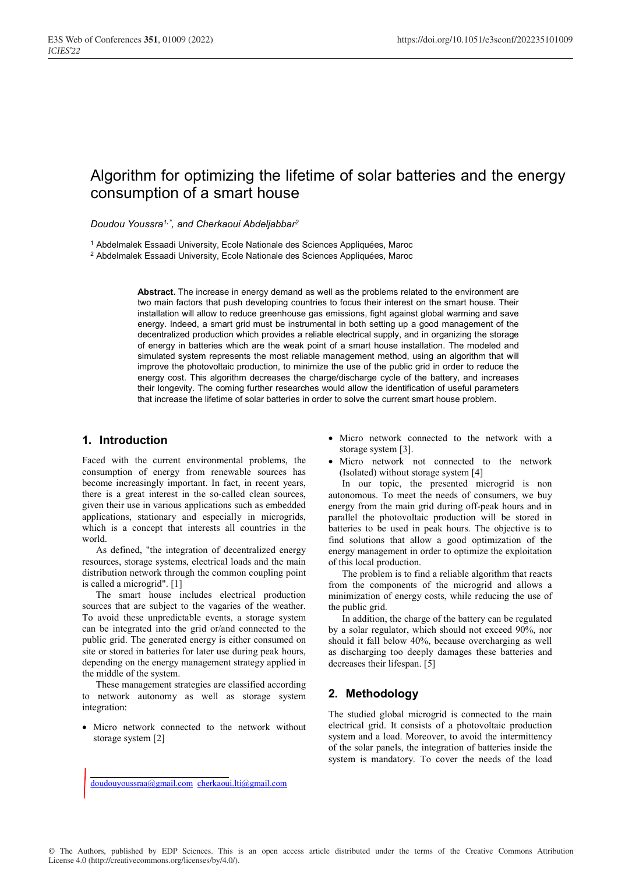# Algorithm for optimizing the lifetime of solar batteries and the energy consumption of a smart house

Doudou Youssra<sup>1,\*</sup>, and Cherkaoui Abdeljabbar<sup>2</sup>

<sup>1</sup> Abdelmalek Essaadi University, Ecole Nationale des Sciences Appliquées, Maroc

2 Abdelmalek Essaadi University, Ecole Nationale des Sciences Appliquées, Maroc

**Abstract.** The increase in energy demand as well as the problems related to the environment are two main factors that push developing countries to focus their interest on the smart house. Their installation will allow to reduce greenhouse gas emissions, fight against global warming and save energy. Indeed, a smart grid must be instrumental in both setting up a good management of the decentralized production which provides a reliable electrical supply, and in organizing the storage of energy in batteries which are the weak point of a smart house installation. The modeled and simulated system represents the most reliable management method, using an algorithm that will improve the photovoltaic production, to minimize the use of the public grid in order to reduce the energy cost. This algorithm decreases the charge/discharge cycle of the battery, and increases their longevity. The coming further researches would allow the identification of useful parameters that increase the lifetime of solar batteries in order to solve the current smart house problem.

# **1. Introduction**

Faced with the current environmental problems, the consumption of energy from renewable sources has become increasingly important. In fact, in recent years, there is a great interest in the so-called clean sources, given their use in various applications such as embedded applications, stationary and especially in microgrids, which is a concept that interests all countries in the world.

As defined, "the integration of decentralized energy resources, storage systems, electrical loads and the main distribution network through the common coupling point is called a microgrid". [1]

The smart house includes electrical production sources that are subject to the vagaries of the weather. To avoid these unpredictable events, a storage system can be integrated into the grid or/and connected to the public grid. The generated energy is either consumed on site or stored in batteries for later use during peak hours, depending on the energy management strategy applied in the middle of the system.

These management strategies are classified according to network autonomy as well as storage system integration:

• Micro network connected to the network without storage system [2]

- Micro network connected to the network with a storage system [3].
- Micro network not connected to the network (Isolated) without storage system [4]

In our topic, the presented microgrid is non autonomous. To meet the needs of consumers, we buy energy from the main grid during off-peak hours and in parallel the photovoltaic production will be stored in batteries to be used in peak hours. The objective is to find solutions that allow a good optimization of the energy management in order to optimize the exploitation of this local production.

The problem is to find a reliable algorithm that reacts from the components of the microgrid and allows a minimization of energy costs, while reducing the use of the public grid.

In addition, the charge of the battery can be regulated by a solar regulator, which should not exceed 90%, nor should it fall below 40%, because overcharging as well as discharging too deeply damages these batteries and decreases their lifespan. [5]

# **2. Methodology**

The studied global microgrid is connected to the main electrical grid. It consists of a photovoltaic production system and a load. Moreover, to avoid the intermittency of the solar panels, the integration of batteries inside the system is mandatory. To cover the needs of the load

doudouyoussraa@gmail.com cherkaoui.lti@gmail.com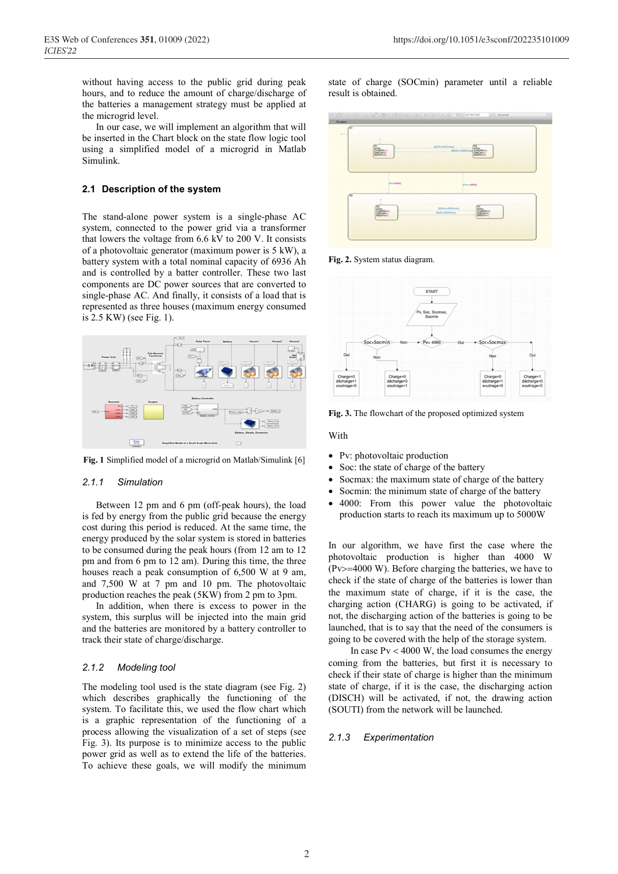without having access to the public grid during peak hours, and to reduce the amount of charge/discharge of the batteries a management strategy must be applied at the microgrid level.

In our case, we will implement an algorithm that will be inserted in the Chart block on the state flow logic tool using a simplified model of a microgrid in Matlab Simulink.

#### **2.1 Description of the system**

The stand-alone power system is a single-phase AC system, connected to the power grid via a transformer that lowers the voltage from 6.6 kV to 200 V. It consists of a photovoltaic generator (maximum power is 5 kW), a battery system with a total nominal capacity of 6936 Ah and is controlled by a batter controller. These two last components are DC power sources that are converted to single-phase AC. And finally, it consists of a load that is represented as three houses (maximum energy consumed is 2.5 KW) (see Fig. 1).



**Fig. 1** Simplified model of a microgrid on Matlab/Simulink [6]

#### *2.1.1 Simulation*

Between 12 pm and 6 pm (off-peak hours), the load is fed by energy from the public grid because the energy cost during this period is reduced. At the same time, the energy produced by the solar system is stored in batteries to be consumed during the peak hours (from 12 am to 12 pm and from 6 pm to 12 am). During this time, the three houses reach a peak consumption of 6,500 W at 9 am, and 7,500 W at 7 pm and 10 pm. The photovoltaic production reaches the peak (5KW) from 2 pm to 3pm. In addition, when there is excess to power in the

system, this surplus will be injected into the main grid and the batteries are monitored by a battery controller to track their state of charge/discharge.

#### *2.1.2 Modeling tool*

The modeling tool used is the state diagram (see Fig. 2) which describes graphically the functioning of the system. To facilitate this, we used the flow chart which is a graphic representation of the functioning of a process allowing the visualization of a set of steps (see Fig. 3). Its purpose is to minimize access to the public power grid as well as to extend the life of the batteries. To achieve these goals, we will modify the minimum state of charge (SOCmin) parameter until a reliable result is obtained.



**Fig. 2.** System status diagram.



**Fig. 3.** The flowchart of the proposed optimized system

With

- Pv: photovoltaic production
- Soc: the state of charge of the battery
- Socmax: the maximum state of charge of the battery
- Socmin: the minimum state of charge of the battery
- 4000: From this power value the photovoltaic production starts to reach its maximum up to 5000W

In our algorithm, we have first the case where the photovoltaic production is higher than 4000 W (Pv $>=$ 4000 W). Before charging the batteries, we have to check if the state of charge of the batteries is lower than the maximum state of charge, if it is the case, the charging action (CHARG) is going to be activated, if not, the discharging action of the batteries is going to be launched, that is to say that the need of the consumers is going to be covered with the help of the storage system.

In case  $Pv < 4000$  W, the load consumes the energy coming from the batteries, but first it is necessary to check if their state of charge is higher than the minimum state of charge, if it is the case, the discharging action (DISCH) will be activated, if not, the drawing action (SOUTI) from the network will be launched.

#### *2.1.3 Experimentation*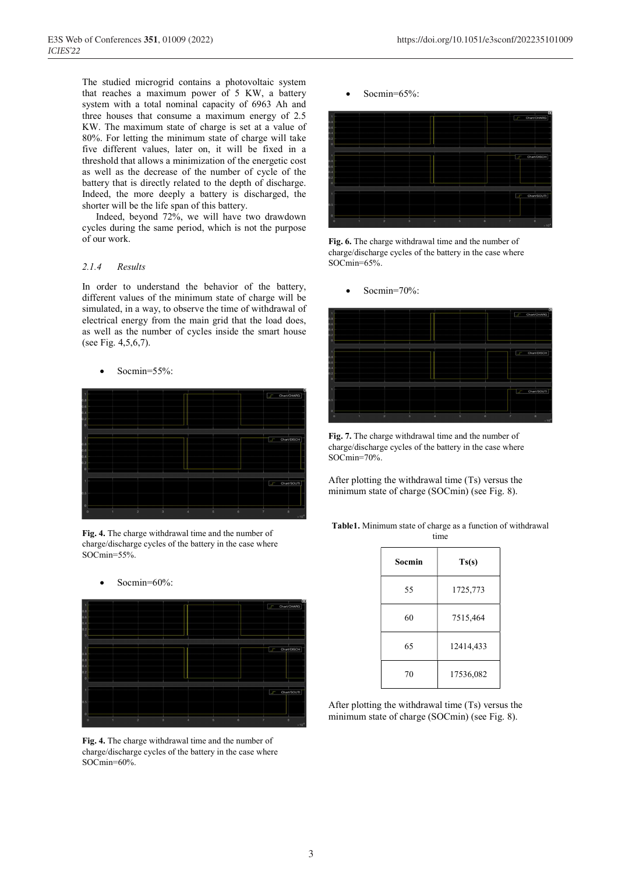The studied microgrid contains a photovoltaic system that reaches a maximum power of 5 KW, a battery system with a total nominal capacity of 6963 Ah and three houses that consume a maximum energy of 2.5 KW. The maximum state of charge is set at a value of 80%. For letting the minimum state of charge will take five different values, later on, it will be fixed in a threshold that allows a minimization of the energetic cost as well as the decrease of the number of cycle of the battery that is directly related to the depth of discharge. Indeed, the more deeply a battery is discharged, the shorter will be the life span of this battery.

Indeed, beyond 72%, we will have two drawdown cycles during the same period, which is not the purpose of our work.

# *2.1.4 Results*

In order to understand the behavior of the battery, different values of the minimum state of charge will be simulated, in a way, to observe the time of withdrawal of electrical energy from the main grid that the load does, as well as the number of cycles inside the smart house (see Fig. 4,5,6,7).

#### Socmin=55%:



**Fig. 4.** The charge withdrawal time and the number of charge/discharge cycles of the battery in the case where SOCmin=55%.



**Fig. 4.** The charge withdrawal time and the number of charge/discharge cycles of the battery in the case where SOCmin=60%.

Socmin=65%:



**Fig. 6.** The charge withdrawal time and the number of charge/discharge cycles of the battery in the case where SOCmin=65%.

Socmin=70%:



**Fig. 7.** The charge withdrawal time and the number of charge/discharge cycles of the battery in the case where SOCmin=70%.

After plotting the withdrawal time (Ts) versus the minimum state of charge (SOCmin) (see Fig. 8).

**Table1.** Minimum state of charge as a function of withdrawal time

| Socmin | Ts(s)     |
|--------|-----------|
| 55     | 1725,773  |
| 60     | 7515,464  |
| 65     | 12414,433 |
| 70     | 17536,082 |

After plotting the withdrawal time (Ts) versus the minimum state of charge (SOCmin) (see Fig. 8).